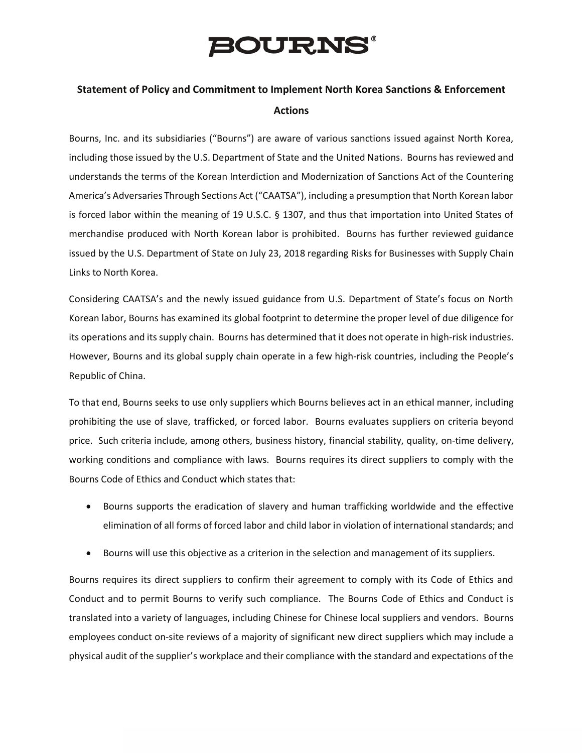## **BOURNS®**

## **Statement of Policy and Commitment to Implement North Korea Sanctions & Enforcement Actions**

Bourns, Inc. and its subsidiaries ("Bourns") are aware of various sanctions issued against North Korea, including those issued by the U.S. Department of State and the United Nations. Bourns has reviewed and understands the terms of the Korean Interdiction and Modernization of Sanctions Act of the Countering America's Adversaries Through Sections Act ("CAATSA"), including a presumption that North Korean labor is forced labor within the meaning of 19 U.S.C. § 1307, and thus that importation into United States of merchandise produced with North Korean labor is prohibited. Bourns has further reviewed guidance issued by the U.S. Department of State on July 23, 2018 regarding Risks for Businesses with Supply Chain Links to North Korea.

Considering CAATSA's and the newly issued guidance from U.S. Department of State's focus on North Korean labor, Bourns has examined its global footprint to determine the proper level of due diligence for its operations and its supply chain. Bourns has determined that it does not operate in high-risk industries. However, Bourns and its global supply chain operate in a few high-risk countries, including the People's Republic of China.

To that end, Bourns seeks to use only suppliers which Bourns believes act in an ethical manner, including prohibiting the use of slave, trafficked, or forced labor. Bourns evaluates suppliers on criteria beyond price. Such criteria include, among others, business history, financial stability, quality, on-time delivery, working conditions and compliance with laws. Bourns requires its direct suppliers to comply with the Bourns Code of Ethics and Conduct which states that:

- Bourns supports the eradication of slavery and human trafficking worldwide and the effective elimination of all forms of forced labor and child labor in violation of international standards; and
- Bourns will use this objective as a criterion in the selection and management of its suppliers.

Bourns requires its direct suppliers to confirm their agreement to comply with its Code of Ethics and Conduct and to permit Bourns to verify such compliance. The Bourns Code of Ethics and Conduct is translated into a variety of languages, including Chinese for Chinese local suppliers and vendors. Bourns employees conduct on-site reviews of a majority of significant new direct suppliers which may include a physical audit of the supplier's workplace and their compliance with the standard and expectations of the